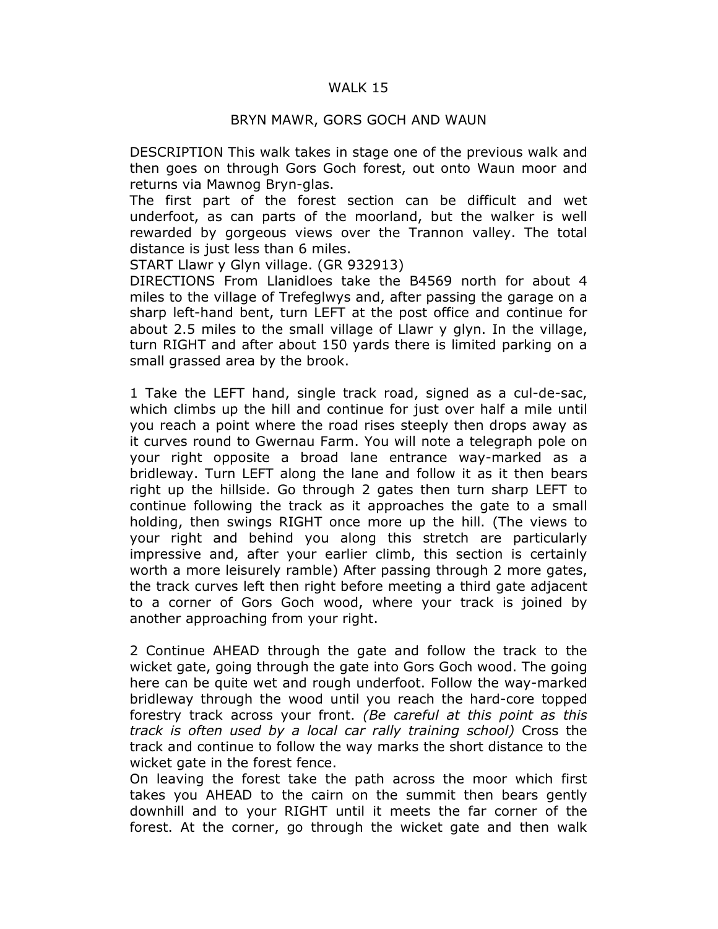## WALK 15

## BRYN MAWR, GORS GOCH AND WAUN

DESCRIPTION This walk takes in stage one of the previous walk and then goes on through Gors Goch forest, out onto Waun moor and returns via Mawnog Bryn-glas.

The first part of the forest section can be difficult and wet underfoot, as can parts of the moorland, but the walker is well rewarded by gorgeous views over the Trannon valley. The total distance is just less than 6 miles.

START Llawr y Glyn village. (GR 932913)

DIRECTIONS From Llanidloes take the B4569 north for about 4 miles to the village of Trefeglwys and, after passing the garage on a sharp left-hand bent, turn LEFT at the post office and continue for about 2.5 miles to the small village of Llawr y glyn. In the village, turn RIGHT and after about 150 yards there is limited parking on a small grassed area by the brook.

1 Take the LEFT hand, single track road, signed as a cul-de-sac, which climbs up the hill and continue for just over half a mile until you reach a point where the road rises steeply then drops away as it curves round to Gwernau Farm. You will note a telegraph pole on your right opposite a broad lane entrance way-marked as a bridleway. Turn LEFT along the lane and follow it as it then bears right up the hillside. Go through 2 gates then turn sharp LEFT to continue following the track as it approaches the gate to a small holding, then swings RIGHT once more up the hill. (The views to your right and behind you along this stretch are particularly impressive and, after your earlier climb, this section is certainly worth a more leisurely ramble) After passing through 2 more gates, the track curves left then right before meeting a third gate adjacent to a corner of Gors Goch wood, where your track is joined by another approaching from your right.

2 Continue AHEAD through the gate and follow the track to the wicket gate, going through the gate into Gors Goch wood. The going here can be quite wet and rough underfoot. Follow the way-marked bridleway through the wood until you reach the hard-core topped forestry track across your front. (Be careful at this point as this track is often used by a local car rally training school) Cross the track and continue to follow the way marks the short distance to the wicket gate in the forest fence.

On leaving the forest take the path across the moor which first takes you AHEAD to the cairn on the summit then bears gently downhill and to your RIGHT until it meets the far corner of the forest. At the corner, go through the wicket gate and then walk